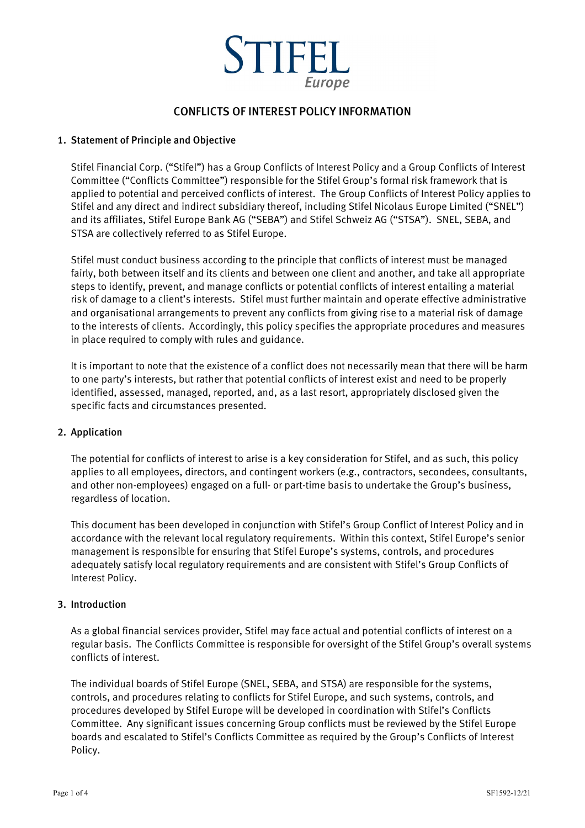

# CONFLICTS OF INTEREST POLICY INFORMATION

### 1. Statement of Principle and Objective

Stifel Financial Corp. ("Stifel") has a Group Conflicts of Interest Policy and a Group Conflicts of Interest Committee ("Conflicts Committee") responsible for the Stifel Group's formal risk framework that is applied to potential and perceived conflicts of interest. The Group Conflicts of Interest Policy applies to Stifel and any direct and indirect subsidiary thereof, including Stifel Nicolaus Europe Limited ("SNEL") and its affiliates, Stifel Europe Bank AG ("SEBA") and Stifel Schweiz AG ("STSA"). SNEL, SEBA, and STSA are collectively referred to as Stifel Europe.

Stifel must conduct business according to the principle that conflicts of interest must be managed fairly, both between itself and its clients and between one client and another, and take all appropriate steps to identify, prevent, and manage conflicts or potential conflicts of interest entailing a material risk of damage to a client's interests. Stifel must further maintain and operate effective administrative and organisational arrangements to prevent any conflicts from giving rise to a material risk of damage to the interests of clients. Accordingly, this policy specifies the appropriate procedures and measures in place required to comply with rules and guidance.

It is important to note that the existence of a conflict does not necessarily mean that there will be harm to one party's interests, but rather that potential conflicts of interest exist and need to be properly identified, assessed, managed, reported, and, as a last resort, appropriately disclosed given the specific facts and circumstances presented.

#### 2. Application

The potential for conflicts of interest to arise is a key consideration for Stifel, and as such, this policy applies to all employees, directors, and contingent workers (e.g., contractors, secondees, consultants, and other non-employees) engaged on a full- or part-time basis to undertake the Group's business, regardless of location.

This document has been developed in conjunction with Stifel's Group Conflict of Interest Policy and in accordance with the relevant local regulatory requirements. Within this context, Stifel Europe's senior management is responsible for ensuring that Stifel Europe's systems, controls, and procedures adequately satisfy local regulatory requirements and are consistent with Stifel's Group Conflicts of Interest Policy.

#### 3. Introduction

As a global financial services provider, Stifel may face actual and potential conflicts of interest on a regular basis. The Conflicts Committee is responsible for oversight of the Stifel Group's overall systems conflicts of interest.

The individual boards of Stifel Europe (SNEL, SEBA, and STSA) are responsible for the systems, controls, and procedures relating to conflicts for Stifel Europe, and such systems, controls, and procedures developed by Stifel Europe will be developed in coordination with Stifel's Conflicts Committee. Any significant issues concerning Group conflicts must be reviewed by the Stifel Europe boards and escalated to Stifel's Conflicts Committee as required by the Group's Conflicts of Interest Policy.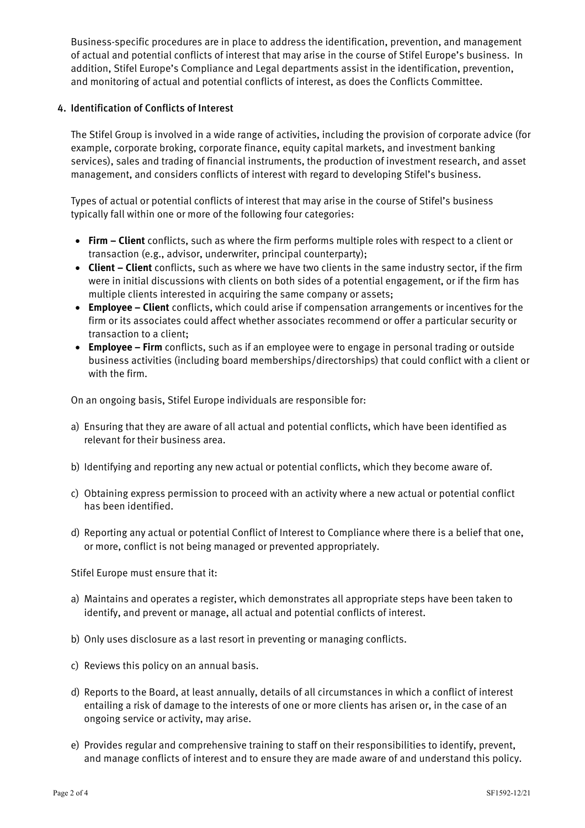Business-specific procedures are in place to address the identification, prevention, and management of actual and potential conflicts of interest that may arise in the course of Stifel Europe's business. In addition, Stifel Europe's Compliance and Legal departments assist in the identification, prevention, and monitoring of actual and potential conflicts of interest, as does the Conflicts Committee.

## 4. Identification of Conflicts of Interest

The Stifel Group is involved in a wide range of activities, including the provision of corporate advice (for example, corporate broking, corporate finance, equity capital markets, and investment banking services), sales and trading of financial instruments, the production of investment research, and asset management, and considers conflicts of interest with regard to developing Stifel's business.

Types of actual or potential conflicts of interest that may arise in the course of Stifel's business typically fall within one or more of the following four categories:

- **Firm – Client** conflicts, such as where the firm performs multiple roles with respect to a client or transaction (e.g., advisor, underwriter, principal counterparty);
- **Client – Client** conflicts, such as where we have two clients in the same industry sector, if the firm were in initial discussions with clients on both sides of a potential engagement, or if the firm has multiple clients interested in acquiring the same company or assets;
- **Employee – Client** conflicts, which could arise if compensation arrangements or incentives for the firm or its associates could affect whether associates recommend or offer a particular security or transaction to a client;
- **Employee – Firm** conflicts, such as if an employee were to engage in personal trading or outside business activities (including board memberships/directorships) that could conflict with a client or with the firm.

On an ongoing basis, Stifel Europe individuals are responsible for:

- a) Ensuring that they are aware of all actual and potential conflicts, which have been identified as relevant for their business area.
- b) Identifying and reporting any new actual or potential conflicts, which they become aware of.
- c) Obtaining express permission to proceed with an activity where a new actual or potential conflict has been identified.
- d) Reporting any actual or potential Conflict of Interest to Compliance where there is a belief that one, or more, conflict is not being managed or prevented appropriately.

Stifel Europe must ensure that it:

- a) Maintains and operates a register, which demonstrates all appropriate steps have been taken to identify, and prevent or manage, all actual and potential conflicts of interest.
- b) Only uses disclosure as a last resort in preventing or managing conflicts.
- c) Reviews this policy on an annual basis.
- d) Reports to the Board, at least annually, details of all circumstances in which a conflict of interest entailing a risk of damage to the interests of one or more clients has arisen or, in the case of an ongoing service or activity, may arise.
- e) Provides regular and comprehensive training to staff on their responsibilities to identify, prevent, and manage conflicts of interest and to ensure they are made aware of and understand this policy.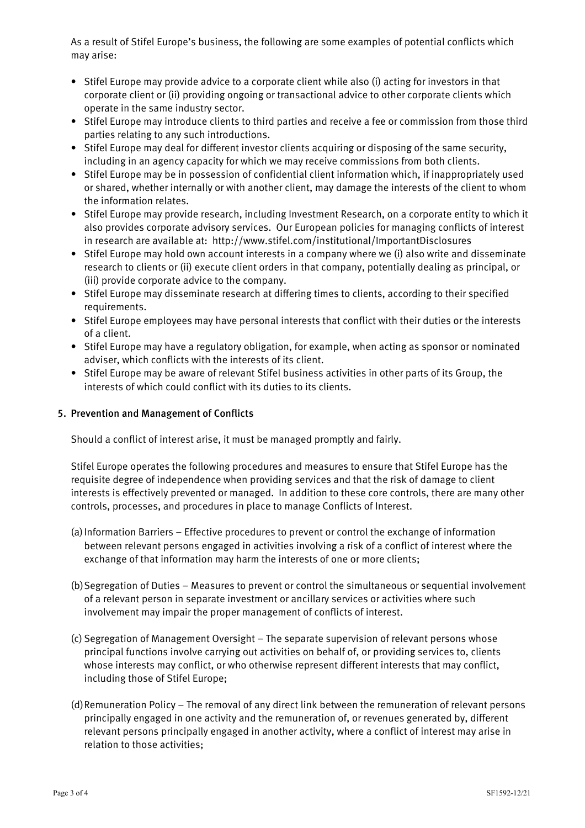As a result of Stifel Europe's business, the following are some examples of potential conflicts which may arise:

- Stifel Europe may provide advice to a corporate client while also (i) acting for investors in that corporate client or (ii) providing ongoing or transactional advice to other corporate clients which operate in the same industry sector.
- Stifel Europe may introduce clients to third parties and receive a fee or commission from those third parties relating to any such introductions.
- Stifel Europe may deal for different investor clients acquiring or disposing of the same security, including in an agency capacity for which we may receive commissions from both clients.
- Stifel Europe may be in possession of confidential client information which, if inappropriately used or shared, whether internally or with another client, may damage the interests of the client to whom the information relates.
- Stifel Europe may provide research, including Investment Research, on a corporate entity to which it also provides corporate advisory services. Our European policies for managing conflicts of interest in research are available at: http://www.stifel.com/institutional/ImportantDisclosures
- Stifel Europe may hold own account interests in a company where we (i) also write and disseminate research to clients or (ii) execute client orders in that company, potentially dealing as principal, or (iii) provide corporate advice to the company.
- Stifel Europe may disseminate research at differing times to clients, according to their specified requirements.
- Stifel Europe employees may have personal interests that conflict with their duties or the interests of a client.
- Stifel Europe may have a regulatory obligation, for example, when acting as sponsor or nominated adviser, which conflicts with the interests of its client.
- Stifel Europe may be aware of relevant Stifel business activities in other parts of its Group, the interests of which could conflict with its duties to its clients.

# 5. Prevention and Management of Conflicts

Should a conflict of interest arise, it must be managed promptly and fairly.

Stifel Europe operates the following procedures and measures to ensure that Stifel Europe has the requisite degree of independence when providing services and that the risk of damage to client interests is effectively prevented or managed. In addition to these core controls, there are many other controls, processes, and procedures in place to manage Conflicts of Interest.

- (a)Information Barriers Effective procedures to prevent or control the exchange of information between relevant persons engaged in activities involving a risk of a conflict of interest where the exchange of that information may harm the interests of one or more clients;
- (b)Segregation of Duties Measures to prevent or control the simultaneous or sequential involvement of a relevant person in separate investment or ancillary services or activities where such involvement may impair the proper management of conflicts of interest.
- (c) Segregation of Management Oversight The separate supervision of relevant persons whose principal functions involve carrying out activities on behalf of, or providing services to, clients whose interests may conflict, or who otherwise represent different interests that may conflict, including those of Stifel Europe;
- (d)Remuneration Policy The removal of any direct link between the remuneration of relevant persons principally engaged in one activity and the remuneration of, or revenues generated by, different relevant persons principally engaged in another activity, where a conflict of interest may arise in relation to those activities;